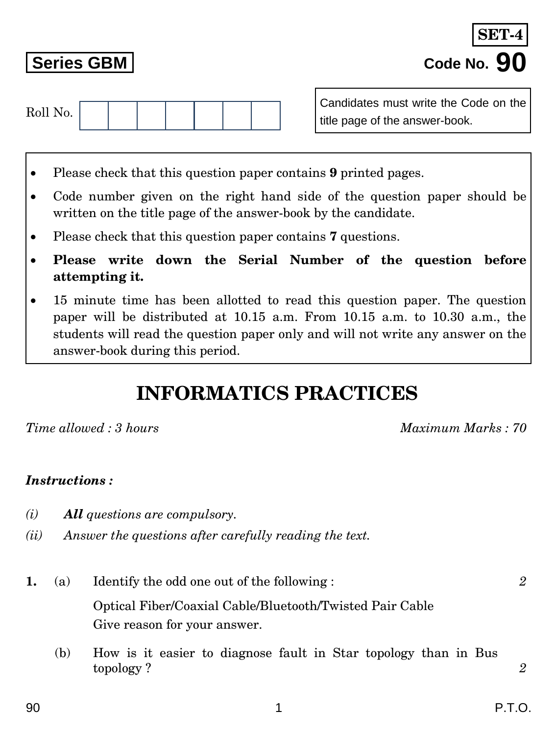Optical Fiber/Coaxial Cable/Bluetooth/Twisted Pair Cable Give reason for your answer.

(b) How is it easier to diagnose fault in Star topology than in Bus topology ? *2*

*Time allowed : 3 hours Maximum Marks : 70*

## *Instructions :*

- *(i) All questions are compulsory.*
- *(ii) Answer the questions after carefully reading the text.*
- **Please write down the Serial Number of the question before**
- **attempting it.** 15 minute time has been allotted to read this question paper. The question

Code number given on the right hand side of the question paper should be

paper will be distributed at 10.15 a.m. From 10.15 a.m. to 10.30 a.m., the students will read the question paper only and will not write any answer on the answer-book during this period.

**INFORMATICS PRACTICES**

Please check that this question paper contains **7** questions.

written on the title page of the answer-book by the candidate.

Please check that this question paper contains **9** printed pages.

Roll No.

Candidates must write the Code on the title page of the answer-book.

**Series GBM Code No. 90 SET-4**

**1.** (a) Identify the odd one out of the following : *2*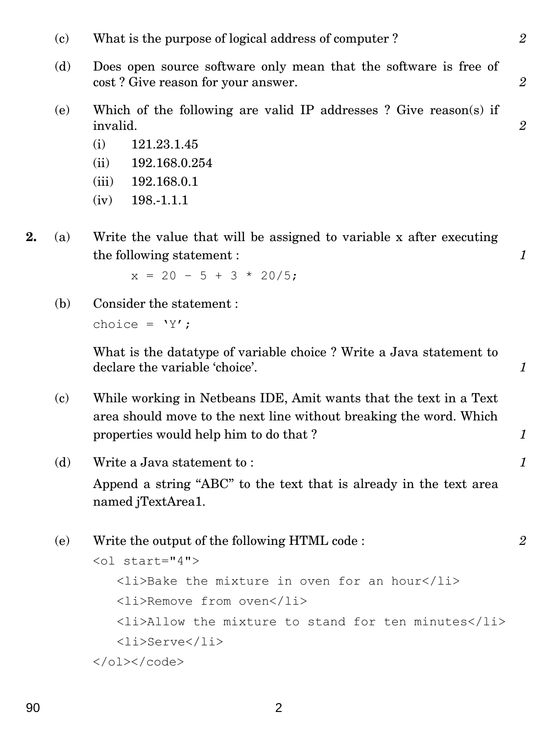- (c) What is the purpose of logical address of computer ? *2*
- (d) Does open source software only mean that the software is free of cost ? Give reason for your answer. *2*
- (e) Which of the following are valid IP addresses ? Give reason(s) if invalid. *2*
	- (i) 121.23.1.45
	- (ii) 192.168.0.254 *1*
	- (iii) 192.168.0.1
	- $(iv)$  198.-1.1.1
- **2.** (a) Write the value that will be assigned to variable x after executing the following statement :  $\qquad \qquad 1$

 $x = 20 - 5 + 3 * 20/5$ ;

(b) Consider the statement : choice =  $'Y'$ ;

> What is the datatype of variable choice ? Write a Java statement to declare the variable 'choice'. *1*

- (c) While working in Netbeans IDE, Amit wants that the text in a Text area should move to the next line without breaking the word. Which properties would help him to do that ? *1*
- (d) Write a Java statement to : *1* Append a string "ABC" to the text that is already in the text area named jTextArea1.
- (e) Write the output of the following HTML code : *2* <ol start="4"> <li>Bake the mixture in oven for an hour</li> <li>Remove from oven</li> <li>Allow the mixture to stand for ten minutes</li> <li>Serve</li>  $\langle$ /ol> $\langle$ /code>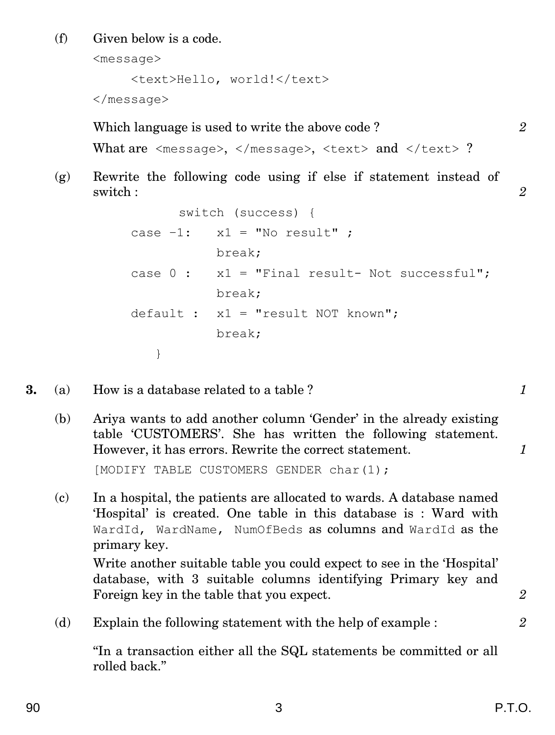(f) Given below is a code.

<message>

<text>Hello, world!</text>

</message>

Which language is used to write the above code? 2

```
What are \langle message>, \langle/message>, \langletext> and \langle/text> ?
```
(g) Rewrite the following code using if else if statement instead of switch : *2* 

```
switch (success) {
case -1: x1 = "No result";
          break;
case 0: x1 = "Final result- Not successful";
          break;
default : x1 = "result NOT known";break;
   }
```
- **3.** (a) How is a database related to a table ? *1*
	- (b) Ariya wants to add another column 'Gender' in the already existing table 'CUSTOMERS'. She has written the following statement. However, it has errors. Rewrite the correct statement. *1*

[MODIFY TABLE CUSTOMERS GENDER char(1);

(c) In a hospital, the patients are allocated to wards. A database named 'Hospital' is created. One table in this database is : Ward with WardId, WardName, NumOfBeds as columns and WardId as the primary key.

Write another suitable table you could expect to see in the 'Hospital' database, with 3 suitable columns identifying Primary key and Foreign key in the table that you expect. **2** 2

(d) Explain the following statement with the help of example : *2*

''In a transaction either all the SQL statements be committed or all rolled back.''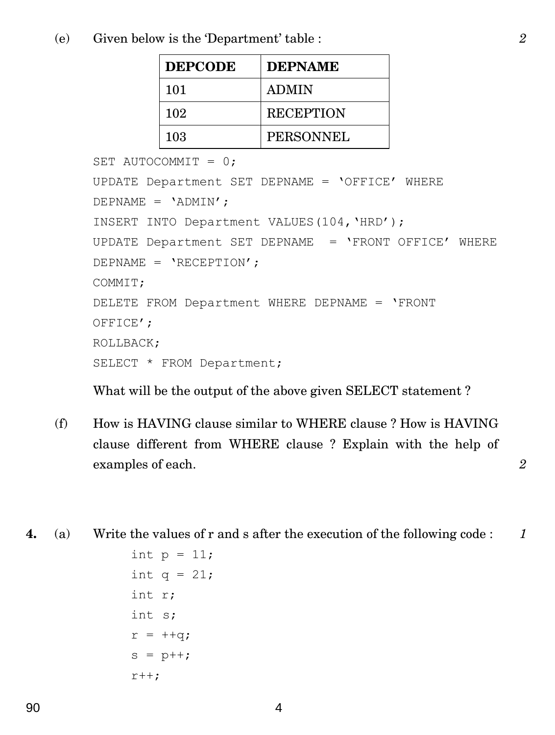(e) Given below is the 'Department' table : *2*

| <b>DEPCODE</b> | <b>DEPNAME</b>   |
|----------------|------------------|
| 101            | <b>ADMIN</b>     |
| 102            | <b>RECEPTION</b> |
| 103            | PERSONNEL        |

```
SET AUTOCOMMIT = 0;
UPDATE Department SET DEPNAME = 'OFFICE' WHERE
DEPNAME = 'ADMIN';
INSERT INTO Department VALUES(104,'HRD');
UPDATE Department SET DEPNAME = 'FRONT OFFICE' WHERE
DEPNAME = 'RECEPTION';
COMMIT;
DELETE FROM Department WHERE DEPNAME = 'FRONT 
OFFICE';
ROLLBACK;
SELECT * FROM Department;
```
What will be the output of the above given SELECT statement ?

- (f) How is HAVING clause similar to WHERE clause ? How is HAVING clause different from WHERE clause ? Explain with the help of examples of each. *2*
- **4.** (a) Write the values of r and s after the execution of the following code : *1*

```
int p = 11;
int q = 21;
int r;
int s;
r = ++q;s = p++;r++;
```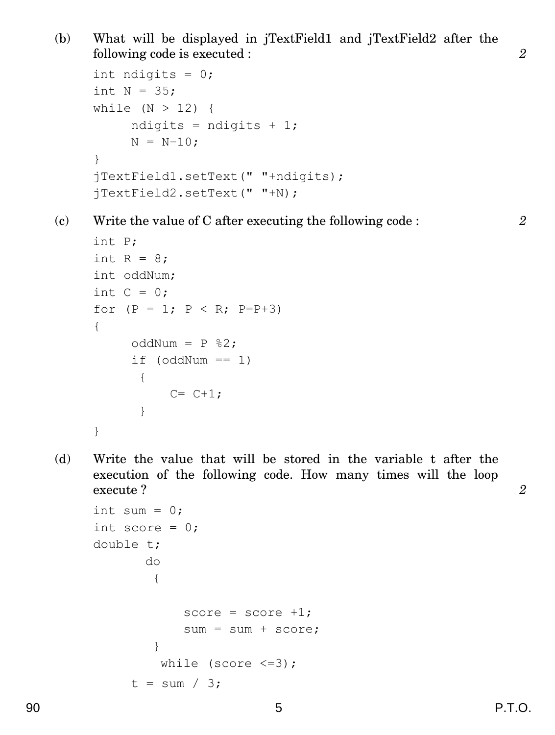(b) What will be displayed in jTextField1 and jTextField2 after the following code is executed : *2*

```
int ndigits = 0;
int N = 35;
while (N > 12) {
     ndigits = ndigits + 1;
     N = N-10;}
jTextField1.setText(" "+ndigits);
jTextField2.setText(" "+N);
```
(c) Write the value of C after executing the following code : *2*

```
int P;
int R = 8;
int oddNum;
int C = 0;
for (P = 1; P < R; P=P+3){
     oddNum = P %2;
     if (oddNum == 1){
          C = C + 1;}
}
```
(d) Write the value that will be stored in the variable t after the execution of the following code. How many times will the loop execute ? *2*

```
int sum = 0;
int score = 0;
double t;
       do
        {
            score = score +1;sum = sum + score;}
         while (score \leq=3);
     t = sum / 3;
```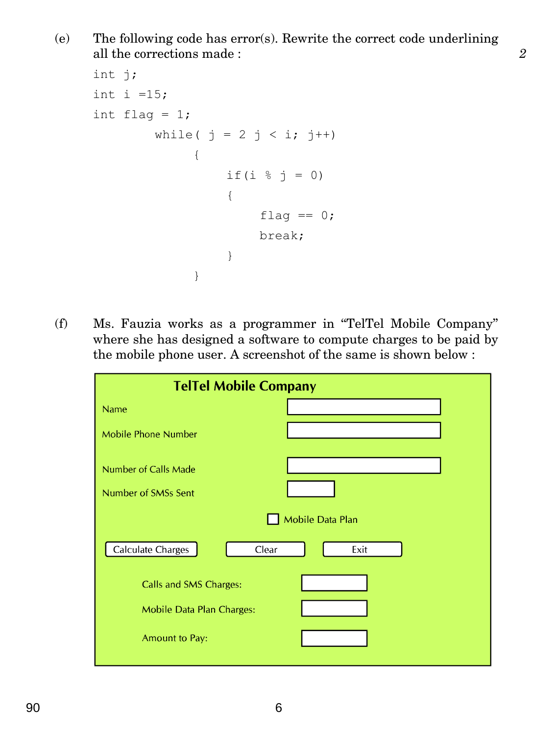(e) The following code has error(s). Rewrite the correct code underlining all the corrections made : *2* 

```
int j;
int i =15;int flaq = 1;
         while( j = 2 j < i; j++){
                    if(i \frac{1}{6} j = 0)
                    {
                         flag == 0;break;
                    }
               }
```
(f) Ms. Fauzia works as a programmer in ''TelTel Mobile Company'' where she has designed a software to compute charges to be paid by the mobile phone user. A screenshot of the same is shown below :

| <b>TelTel Mobile Company</b>     |      |  |
|----------------------------------|------|--|
| <b>Name</b>                      |      |  |
| <b>Mobile Phone Number</b>       |      |  |
| <b>Number of Calls Made</b>      |      |  |
| Number of SMSs Sent              |      |  |
| Mobile Data Plan                 |      |  |
| Calculate Charges<br>Clear       | Exit |  |
| Calls and SMS Charges:           |      |  |
| <b>Mobile Data Plan Charges:</b> |      |  |
| <b>Amount to Pay:</b>            |      |  |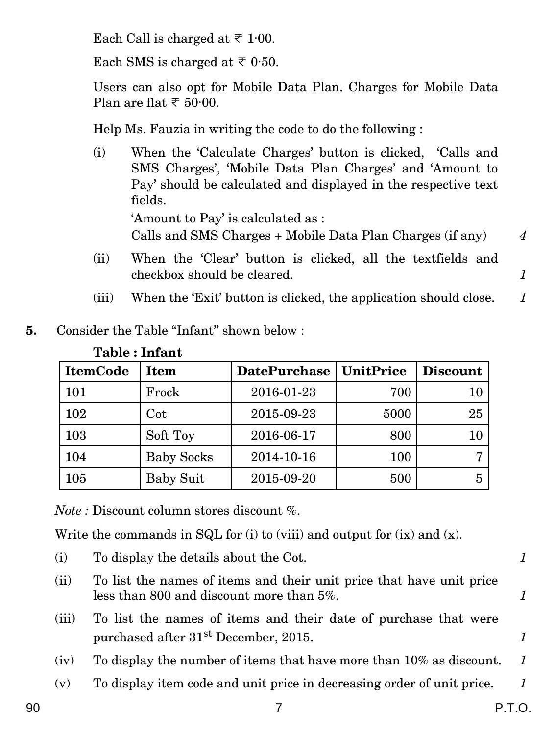Each Call is charged at  $\overline{\tau}$  1.00.

Each SMS is charged at  $\overline{\tau}$  0.50.

Users can also opt for Mobile Data Plan. Charges for Mobile Data Plan are flat  $\overline{\xi}$  50.00.

Help Ms. Fauzia in writing the code to do the following :

- (i) When the 'Calculate Charges' button is clicked, 'Calls and SMS Charges', 'Mobile Data Plan Charges' and 'Amount to Pay' should be calculated and displayed in the respective text fields. 'Amount to Pay' is calculated as : Calls and SMS Charges + Mobile Data Plan Charges (if any) *4*
- (ii) When the 'Clear' button is clicked, all the textfields and checkbox should be cleared. *1*
- (iii) When the 'Exit' button is clicked, the application should close. *1*
- **5.** Consider the Table "Infant" shown below :

| таріс , пітапі  |                   |                     |           |                 |
|-----------------|-------------------|---------------------|-----------|-----------------|
| <b>ItemCode</b> | <b>Item</b>       | <b>DatePurchase</b> | UnitPrice | <b>Discount</b> |
| 101             | Frock             | 2016-01-23          | 700       | 10              |
| 102             | Cot               | 2015-09-23          | 5000      | 25              |
| 103             | Soft Toy          | 2016-06-17          | 800       | 10              |
| 104             | <b>Baby Socks</b> | 2014-10-16          | 100       |                 |
| 105             | <b>Baby Suit</b>  | 2015-09-20          | 500       |                 |

**Table : Infant**

*Note :* Discount column stores discount %.

Write the commands in SQL for (i) to (viii) and output for  $(ix)$  and  $(x)$ .

- (i) To display the details about the Cot. *1*
- (ii) To list the names of items and their unit price that have unit price less than 800 and discount more than 5%. *1*
- (iii) To list the names of items and their date of purchase that were purchased after  $31^{\text{st}}$  December, 2015. **1**
- (iv) To display the number of items that have more than 10% as discount. *1*
- (v) To display item code and unit price in decreasing order of unit price. *1*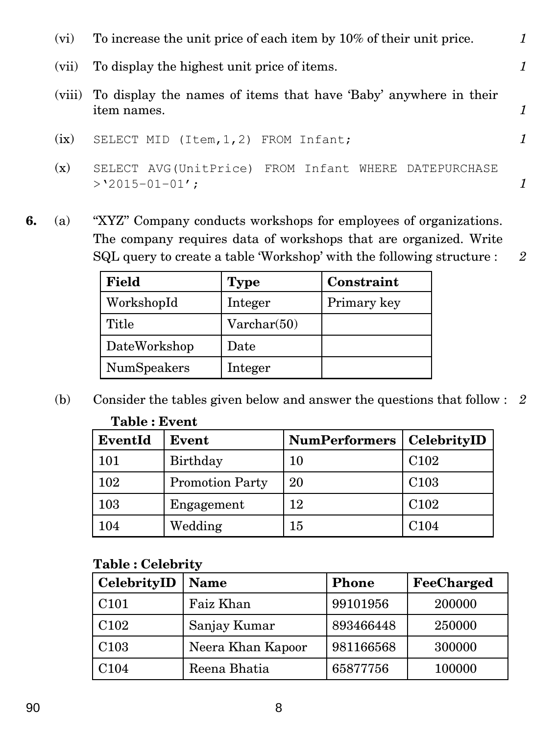| (vi)  | To increase the unit price of each item by 10% of their unit price.                    |  |
|-------|----------------------------------------------------------------------------------------|--|
| (vii) | To display the highest unit price of items.                                            |  |
|       | (viii) To display the names of items that have 'Baby' anywhere in their<br>item names. |  |
| (ix)  | SELECT MID (Item, 1, 2) FROM Infant;                                                   |  |
| (x)   | SELECT AVG(UnitPrice) FROM Infant WHERE DATEPURCHASE<br>$>$ '2015-01-01';              |  |

**6.** (a) ''XYZ'' Company conducts workshops for employees of organizations. The company requires data of workshops that are organized. Write SQL query to create a table 'Workshop' with the following structure : *2*

| <b>Field</b> | <b>Type</b> | Constraint  |
|--------------|-------------|-------------|
| WorkshopId   | Integer     | Primary key |
| Title        | Varchar(50) |             |
| DateWorkshop | Date        |             |
| NumSpeakers  | Integer     |             |

(b) Consider the tables given below and answer the questions that follow : *2* **Table : Event**

| EventId | Event                  | <b>NumPerformers</b> | CelebrityID      |
|---------|------------------------|----------------------|------------------|
| 101     | Birthday               | 10                   | C <sub>102</sub> |
| 102     | <b>Promotion Party</b> | 20                   | C <sub>103</sub> |
| 103     | Engagement             | 12                   | C <sub>102</sub> |
| 104     | Wedding                | 15                   | C <sub>104</sub> |

## **Table : Celebrity**

| CelebrityID      | <b>Name</b>       | <b>Phone</b> | FeeCharged |
|------------------|-------------------|--------------|------------|
| C <sub>101</sub> | Faiz Khan         | 99101956     | 200000     |
| C <sub>102</sub> | Sanjay Kumar      | 893466448    | 250000     |
| C <sub>103</sub> | Neera Khan Kapoor | 981166568    | 300000     |
| C104             | Reena Bhatia      | 65877756     | 100000     |